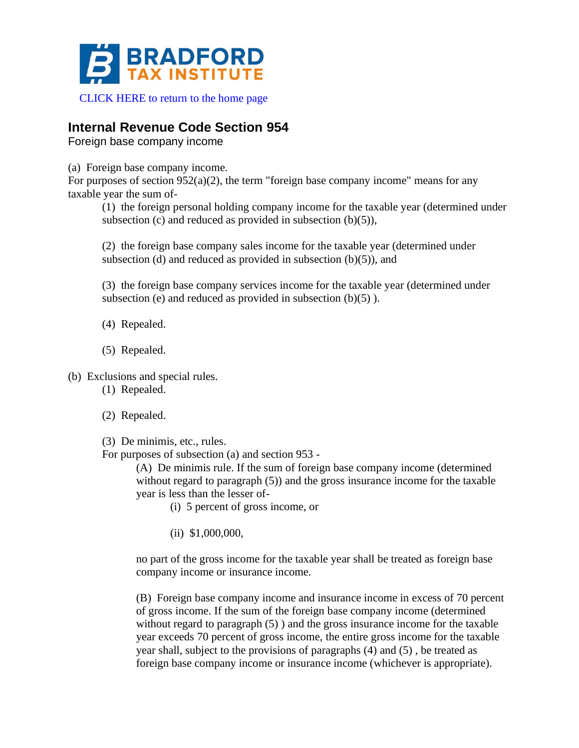

[CLICK HERE to return to the home page](https://www.bradfordtaxinstitute.com)

## **Internal Revenue Code Section 954**

Foreign base company income

(a) Foreign base company income.

For purposes of section  $952(a)(2)$ , the term "foreign base company income" means for any taxable year the sum of-

(1) the foreign personal holding company income for the taxable year (determined under subsection  $(c)$  and reduced as provided in subsection  $(b)(5)$ ),

(2) the foreign base company sales income for the taxable year (determined under subsection (d) and reduced as provided in subsection  $(b)(5)$ , and

(3) the foreign base company services income for the taxable year (determined under subsection (e) and reduced as provided in subsection  $(b)(5)$ ).

- (4) Repealed.
- (5) Repealed.

(b) Exclusions and special rules.

- (1) Repealed.
- (2) Repealed.
- (3) De minimis, etc., rules.

For purposes of subsection (a) and section 953 -

(A) De minimis rule. If the sum of foreign base company income (determined without regard to paragraph (5)) and the gross insurance income for the taxable year is less than the lesser of-

(i) 5 percent of gross income, or

(ii) \$1,000,000,

no part of the gross income for the taxable year shall be treated as foreign base company income or insurance income.

(B) Foreign base company income and insurance income in excess of 70 percent of gross income. If the sum of the foreign base company income (determined without regard to paragraph (5)) and the gross insurance income for the taxable year exceeds 70 percent of gross income, the entire gross income for the taxable year shall, subject to the provisions of paragraphs (4) and (5) , be treated as foreign base company income or insurance income (whichever is appropriate).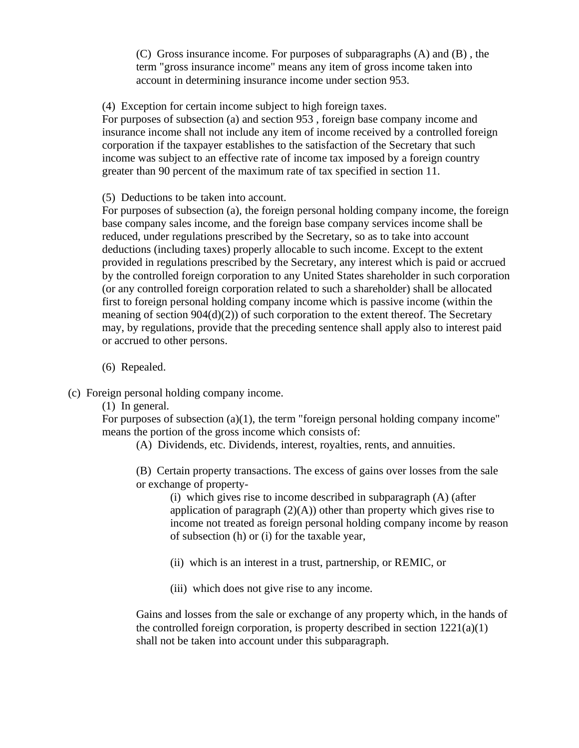(C) Gross insurance income. For purposes of subparagraphs (A) and (B) , the term "gross insurance income" means any item of gross income taken into account in determining insurance income under section 953.

(4) Exception for certain income subject to high foreign taxes.

For purposes of subsection (a) and section 953 , foreign base company income and insurance income shall not include any item of income received by a controlled foreign corporation if the taxpayer establishes to the satisfaction of the Secretary that such income was subject to an effective rate of income tax imposed by a foreign country greater than 90 percent of the maximum rate of tax specified in section 11.

(5) Deductions to be taken into account.

For purposes of subsection (a), the foreign personal holding company income, the foreign base company sales income, and the foreign base company services income shall be reduced, under regulations prescribed by the Secretary, so as to take into account deductions (including taxes) properly allocable to such income. Except to the extent provided in regulations prescribed by the Secretary, any interest which is paid or accrued by the controlled foreign corporation to any United States shareholder in such corporation (or any controlled foreign corporation related to such a shareholder) shall be allocated first to foreign personal holding company income which is passive income (within the meaning of section 904(d)(2)) of such corporation to the extent thereof. The Secretary may, by regulations, provide that the preceding sentence shall apply also to interest paid or accrued to other persons.

(6) Repealed.

(c) Foreign personal holding company income.

(1) In general.

For purposes of subsection (a)(1), the term "foreign personal holding company income" means the portion of the gross income which consists of:

(A) Dividends, etc. Dividends, interest, royalties, rents, and annuities.

(B) Certain property transactions. The excess of gains over losses from the sale or exchange of property-

(i) which gives rise to income described in subparagraph (A) (after application of paragraph  $(2)(A)$  other than property which gives rise to income not treated as foreign personal holding company income by reason of subsection (h) or (i) for the taxable year,

(ii) which is an interest in a trust, partnership, or REMIC, or

(iii) which does not give rise to any income.

Gains and losses from the sale or exchange of any property which, in the hands of the controlled foreign corporation, is property described in section  $1221(a)(1)$ shall not be taken into account under this subparagraph.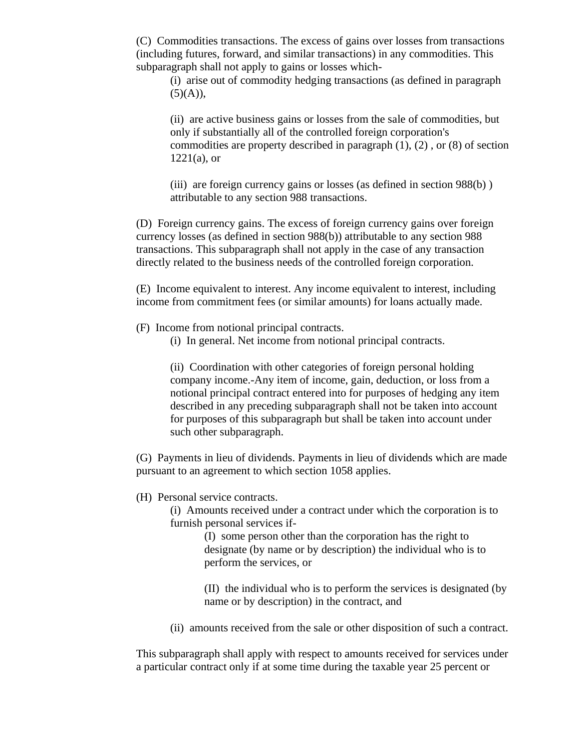(C) Commodities transactions. The excess of gains over losses from transactions (including futures, forward, and similar transactions) in any commodities. This subparagraph shall not apply to gains or losses which-

(i) arise out of commodity hedging transactions (as defined in paragraph  $(5)(A)),$ 

(ii) are active business gains or losses from the sale of commodities, but only if substantially all of the controlled foreign corporation's commodities are property described in paragraph (1), (2) , or (8) of section  $1221(a)$ , or

(iii) are foreign currency gains or losses (as defined in section 988(b) ) attributable to any section 988 transactions.

(D) Foreign currency gains. The excess of foreign currency gains over foreign currency losses (as defined in section 988(b)) attributable to any section 988 transactions. This subparagraph shall not apply in the case of any transaction directly related to the business needs of the controlled foreign corporation.

(E) Income equivalent to interest. Any income equivalent to interest, including income from commitment fees (or similar amounts) for loans actually made.

- (F) Income from notional principal contracts.
	- (i) In general. Net income from notional principal contracts.

(ii) Coordination with other categories of foreign personal holding company income.-Any item of income, gain, deduction, or loss from a notional principal contract entered into for purposes of hedging any item described in any preceding subparagraph shall not be taken into account for purposes of this subparagraph but shall be taken into account under such other subparagraph.

(G) Payments in lieu of dividends. Payments in lieu of dividends which are made pursuant to an agreement to which section 1058 applies.

## (H) Personal service contracts.

(i) Amounts received under a contract under which the corporation is to furnish personal services if-

> (I) some person other than the corporation has the right to designate (by name or by description) the individual who is to perform the services, or

(II) the individual who is to perform the services is designated (by name or by description) in the contract, and

(ii) amounts received from the sale or other disposition of such a contract.

This subparagraph shall apply with respect to amounts received for services under a particular contract only if at some time during the taxable year 25 percent or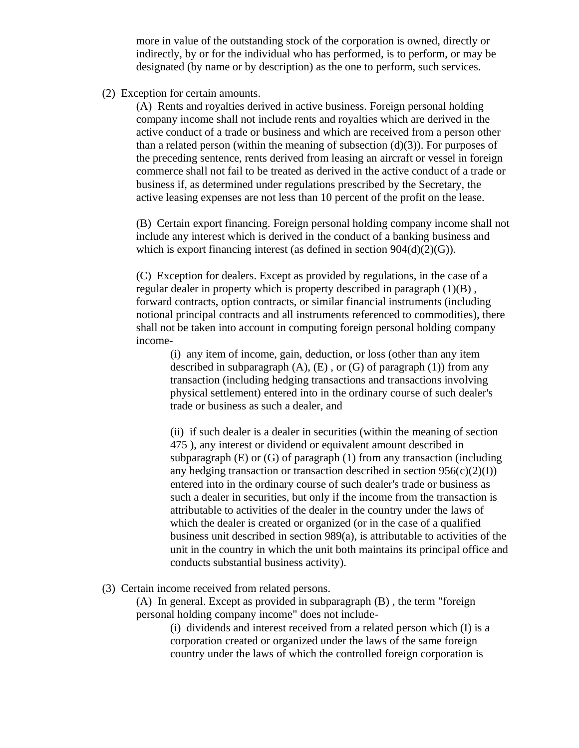more in value of the outstanding stock of the corporation is owned, directly or indirectly, by or for the individual who has performed, is to perform, or may be designated (by name or by description) as the one to perform, such services.

(2) Exception for certain amounts.

(A) Rents and royalties derived in active business. Foreign personal holding company income shall not include rents and royalties which are derived in the active conduct of a trade or business and which are received from a person other than a related person (within the meaning of subsection  $(d)(3)$ ). For purposes of the preceding sentence, rents derived from leasing an aircraft or vessel in foreign commerce shall not fail to be treated as derived in the active conduct of a trade or business if, as determined under regulations prescribed by the Secretary, the active leasing expenses are not less than 10 percent of the profit on the lease.

(B) Certain export financing. Foreign personal holding company income shall not include any interest which is derived in the conduct of a banking business and which is export financing interest (as defined in section  $904(d)(2)(G)$ ).

(C) Exception for dealers. Except as provided by regulations, in the case of a regular dealer in property which is property described in paragraph (1)(B) , forward contracts, option contracts, or similar financial instruments (including notional principal contracts and all instruments referenced to commodities), there shall not be taken into account in computing foreign personal holding company income-

(i) any item of income, gain, deduction, or loss (other than any item described in subparagraph  $(A)$ ,  $(E)$ , or  $(G)$  of paragraph  $(1)$ ) from any transaction (including hedging transactions and transactions involving physical settlement) entered into in the ordinary course of such dealer's trade or business as such a dealer, and

(ii) if such dealer is a dealer in securities (within the meaning of section 475 ), any interest or dividend or equivalent amount described in subparagraph (E) or (G) of paragraph (1) from any transaction (including any hedging transaction or transaction described in section  $956(c)(2)(I)$ ) entered into in the ordinary course of such dealer's trade or business as such a dealer in securities, but only if the income from the transaction is attributable to activities of the dealer in the country under the laws of which the dealer is created or organized (or in the case of a qualified business unit described in section 989(a), is attributable to activities of the unit in the country in which the unit both maintains its principal office and conducts substantial business activity).

(3) Certain income received from related persons.

(A) In general. Except as provided in subparagraph (B) , the term "foreign personal holding company income" does not include-

(i) dividends and interest received from a related person which (I) is a corporation created or organized under the laws of the same foreign country under the laws of which the controlled foreign corporation is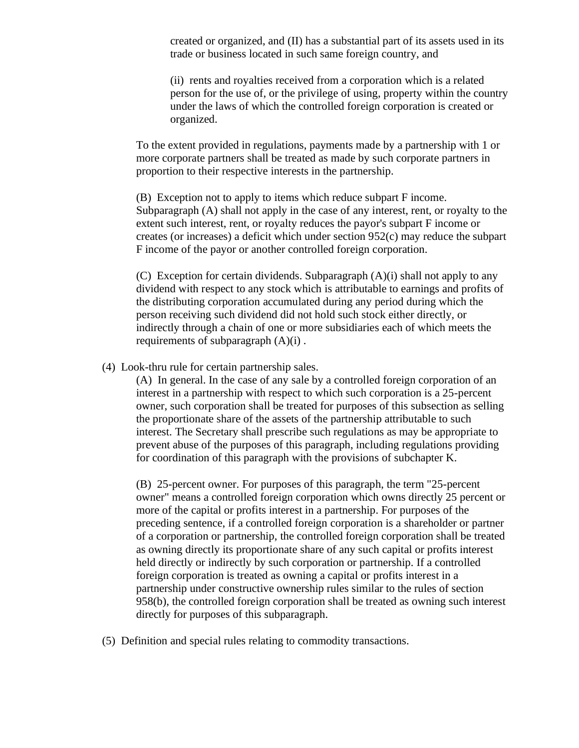created or organized, and (II) has a substantial part of its assets used in its trade or business located in such same foreign country, and

(ii) rents and royalties received from a corporation which is a related person for the use of, or the privilege of using, property within the country under the laws of which the controlled foreign corporation is created or organized.

To the extent provided in regulations, payments made by a partnership with 1 or more corporate partners shall be treated as made by such corporate partners in proportion to their respective interests in the partnership.

(B) Exception not to apply to items which reduce subpart F income. Subparagraph (A) shall not apply in the case of any interest, rent, or royalty to the extent such interest, rent, or royalty reduces the payor's subpart F income or creates (or increases) a deficit which under section 952(c) may reduce the subpart F income of the payor or another controlled foreign corporation.

(C) Exception for certain dividends. Subparagraph (A)(i) shall not apply to any dividend with respect to any stock which is attributable to earnings and profits of the distributing corporation accumulated during any period during which the person receiving such dividend did not hold such stock either directly, or indirectly through a chain of one or more subsidiaries each of which meets the requirements of subparagraph  $(A)(i)$ .

(4) Look-thru rule for certain partnership sales.

(A) In general. In the case of any sale by a controlled foreign corporation of an interest in a partnership with respect to which such corporation is a 25-percent owner, such corporation shall be treated for purposes of this subsection as selling the proportionate share of the assets of the partnership attributable to such interest. The Secretary shall prescribe such regulations as may be appropriate to prevent abuse of the purposes of this paragraph, including regulations providing for coordination of this paragraph with the provisions of subchapter K.

(B) 25-percent owner. For purposes of this paragraph, the term "25-percent owner" means a controlled foreign corporation which owns directly 25 percent or more of the capital or profits interest in a partnership. For purposes of the preceding sentence, if a controlled foreign corporation is a shareholder or partner of a corporation or partnership, the controlled foreign corporation shall be treated as owning directly its proportionate share of any such capital or profits interest held directly or indirectly by such corporation or partnership. If a controlled foreign corporation is treated as owning a capital or profits interest in a partnership under constructive ownership rules similar to the rules of section 958(b), the controlled foreign corporation shall be treated as owning such interest directly for purposes of this subparagraph.

(5) Definition and special rules relating to commodity transactions.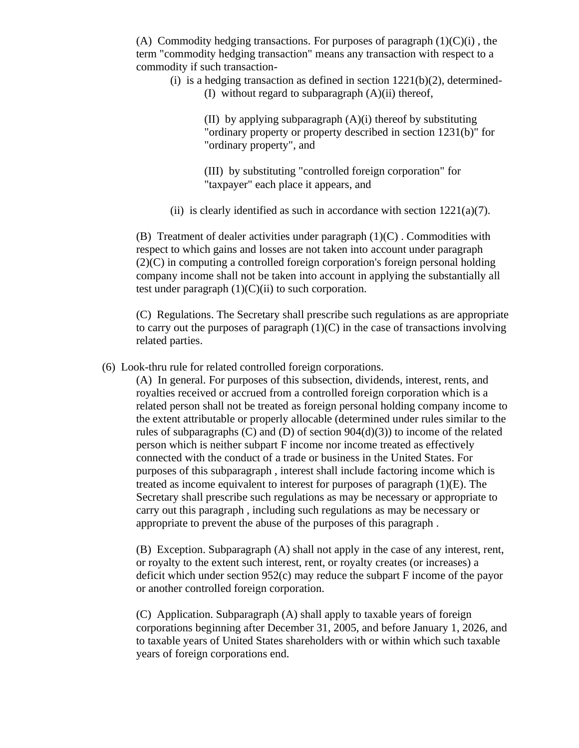(A) Commodity hedging transactions. For purposes of paragraph  $(1)(C)(i)$ , the term "commodity hedging transaction" means any transaction with respect to a commodity if such transaction-

(i) is a hedging transaction as defined in section  $1221(b)(2)$ , determined-

(I) without regard to subparagraph (A)(ii) thereof,

(II) by applying subparagraph (A)(i) thereof by substituting "ordinary property or property described in section 1231(b)" for "ordinary property", and

(III) by substituting "controlled foreign corporation" for "taxpayer" each place it appears, and

(ii) is clearly identified as such in accordance with section  $1221(a)(7)$ .

 $(B)$  Treatment of dealer activities under paragraph  $(1)(C)$ . Commodities with respect to which gains and losses are not taken into account under paragraph (2)(C) in computing a controlled foreign corporation's foreign personal holding company income shall not be taken into account in applying the substantially all test under paragraph  $(1)(C)(ii)$  to such corporation.

(C) Regulations. The Secretary shall prescribe such regulations as are appropriate to carry out the purposes of paragraph  $(1)(C)$  in the case of transactions involving related parties.

(6) Look-thru rule for related controlled foreign corporations.

(A) In general. For purposes of this subsection, dividends, interest, rents, and royalties received or accrued from a controlled foreign corporation which is a related person shall not be treated as foreign personal holding company income to the extent attributable or properly allocable (determined under rules similar to the rules of subparagraphs (C) and (D) of section  $904(d)(3)$ ) to income of the related person which is neither subpart F income nor income treated as effectively connected with the conduct of a trade or business in the United States. For purposes of this subparagraph , interest shall include factoring income which is treated as income equivalent to interest for purposes of paragraph (1)(E). The Secretary shall prescribe such regulations as may be necessary or appropriate to carry out this paragraph , including such regulations as may be necessary or appropriate to prevent the abuse of the purposes of this paragraph .

(B) Exception. Subparagraph (A) shall not apply in the case of any interest, rent, or royalty to the extent such interest, rent, or royalty creates (or increases) a deficit which under section 952(c) may reduce the subpart F income of the payor or another controlled foreign corporation.

(C) Application. Subparagraph (A) shall apply to taxable years of foreign corporations beginning after December 31, 2005, and before January 1, 2026, and to taxable years of United States shareholders with or within which such taxable years of foreign corporations end.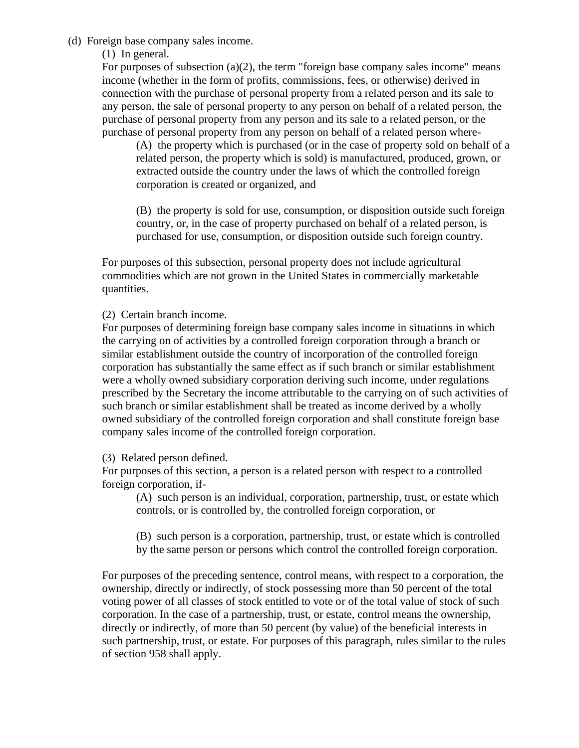## (d) Foreign base company sales income.

(1) In general.

For purposes of subsection (a)(2), the term "foreign base company sales income" means income (whether in the form of profits, commissions, fees, or otherwise) derived in connection with the purchase of personal property from a related person and its sale to any person, the sale of personal property to any person on behalf of a related person, the purchase of personal property from any person and its sale to a related person, or the purchase of personal property from any person on behalf of a related person where-

(A) the property which is purchased (or in the case of property sold on behalf of a related person, the property which is sold) is manufactured, produced, grown, or extracted outside the country under the laws of which the controlled foreign corporation is created or organized, and

(B) the property is sold for use, consumption, or disposition outside such foreign country, or, in the case of property purchased on behalf of a related person, is purchased for use, consumption, or disposition outside such foreign country.

For purposes of this subsection, personal property does not include agricultural commodities which are not grown in the United States in commercially marketable quantities.

(2) Certain branch income.

For purposes of determining foreign base company sales income in situations in which the carrying on of activities by a controlled foreign corporation through a branch or similar establishment outside the country of incorporation of the controlled foreign corporation has substantially the same effect as if such branch or similar establishment were a wholly owned subsidiary corporation deriving such income, under regulations prescribed by the Secretary the income attributable to the carrying on of such activities of such branch or similar establishment shall be treated as income derived by a wholly owned subsidiary of the controlled foreign corporation and shall constitute foreign base company sales income of the controlled foreign corporation.

(3) Related person defined.

For purposes of this section, a person is a related person with respect to a controlled foreign corporation, if-

(A) such person is an individual, corporation, partnership, trust, or estate which controls, or is controlled by, the controlled foreign corporation, or

(B) such person is a corporation, partnership, trust, or estate which is controlled by the same person or persons which control the controlled foreign corporation.

For purposes of the preceding sentence, control means, with respect to a corporation, the ownership, directly or indirectly, of stock possessing more than 50 percent of the total voting power of all classes of stock entitled to vote or of the total value of stock of such corporation. In the case of a partnership, trust, or estate, control means the ownership, directly or indirectly, of more than 50 percent (by value) of the beneficial interests in such partnership, trust, or estate. For purposes of this paragraph, rules similar to the rules of section 958 shall apply.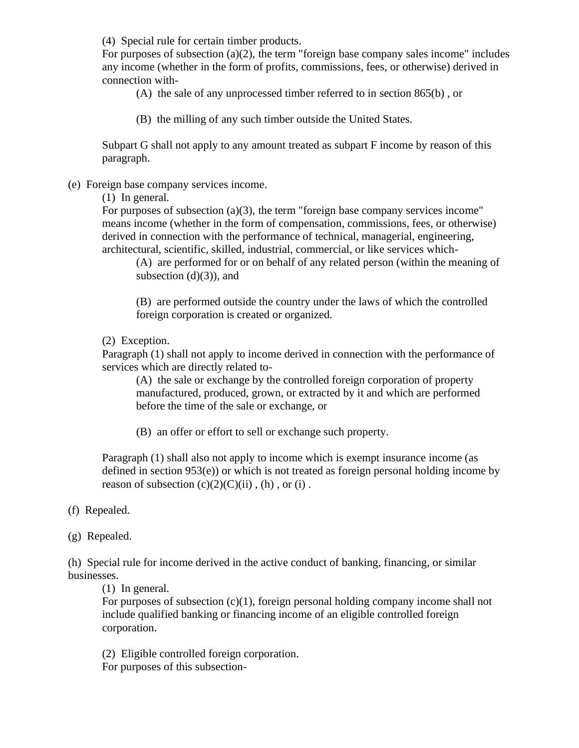(4) Special rule for certain timber products.

For purposes of subsection (a)(2), the term "foreign base company sales income" includes any income (whether in the form of profits, commissions, fees, or otherwise) derived in connection with-

(A) the sale of any unprocessed timber referred to in section 865(b) , or

(B) the milling of any such timber outside the United States.

Subpart G shall not apply to any amount treated as subpart F income by reason of this paragraph.

(e) Foreign base company services income.

(1) In general.

For purposes of subsection (a)(3), the term "foreign base company services income" means income (whether in the form of compensation, commissions, fees, or otherwise) derived in connection with the performance of technical, managerial, engineering, architectural, scientific, skilled, industrial, commercial, or like services which-

(A) are performed for or on behalf of any related person (within the meaning of subsection  $(d)(3)$ , and

(B) are performed outside the country under the laws of which the controlled foreign corporation is created or organized.

(2) Exception.

Paragraph (1) shall not apply to income derived in connection with the performance of services which are directly related to-

(A) the sale or exchange by the controlled foreign corporation of property manufactured, produced, grown, or extracted by it and which are performed before the time of the sale or exchange, or

(B) an offer or effort to sell or exchange such property.

Paragraph (1) shall also not apply to income which is exempt insurance income (as defined in section 953(e)) or which is not treated as foreign personal holding income by reason of subsection  $(c)(2)(C)(ii)$ ,  $(h)$ , or  $(i)$ .

- (f) Repealed.
- (g) Repealed.

(h) Special rule for income derived in the active conduct of banking, financing, or similar businesses.

(1) In general.

For purposes of subsection  $(c)(1)$ , foreign personal holding company income shall not include qualified banking or financing income of an eligible controlled foreign corporation.

(2) Eligible controlled foreign corporation.

For purposes of this subsection-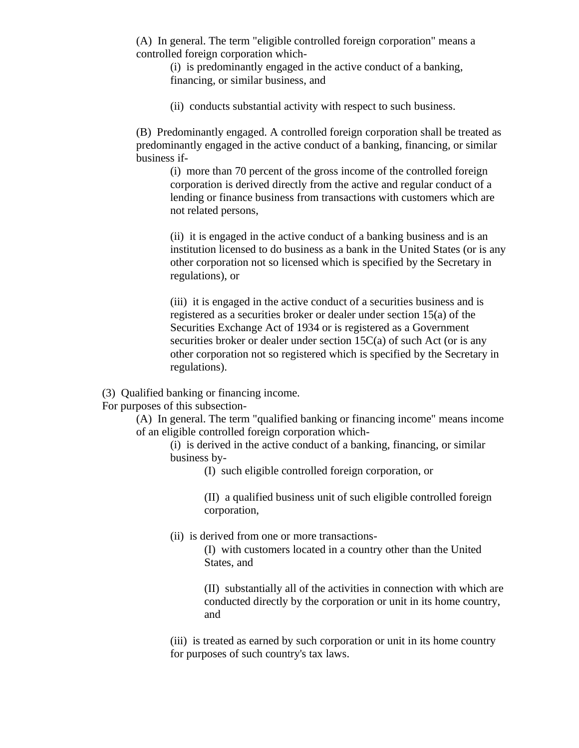(A) In general. The term "eligible controlled foreign corporation" means a controlled foreign corporation which-

(i) is predominantly engaged in the active conduct of a banking, financing, or similar business, and

(ii) conducts substantial activity with respect to such business.

(B) Predominantly engaged. A controlled foreign corporation shall be treated as predominantly engaged in the active conduct of a banking, financing, or similar business if-

(i) more than 70 percent of the gross income of the controlled foreign corporation is derived directly from the active and regular conduct of a lending or finance business from transactions with customers which are not related persons,

(ii) it is engaged in the active conduct of a banking business and is an institution licensed to do business as a bank in the United States (or is any other corporation not so licensed which is specified by the Secretary in regulations), or

(iii) it is engaged in the active conduct of a securities business and is registered as a securities broker or dealer under section 15(a) of the Securities Exchange Act of 1934 or is registered as a Government securities broker or dealer under section 15C(a) of such Act (or is any other corporation not so registered which is specified by the Secretary in regulations).

(3) Qualified banking or financing income.

For purposes of this subsection-

(A) In general. The term "qualified banking or financing income" means income of an eligible controlled foreign corporation which-

(i) is derived in the active conduct of a banking, financing, or similar business by-

(I) such eligible controlled foreign corporation, or

(II) a qualified business unit of such eligible controlled foreign corporation,

(ii) is derived from one or more transactions-

(I) with customers located in a country other than the United States, and

(II) substantially all of the activities in connection with which are conducted directly by the corporation or unit in its home country, and

(iii) is treated as earned by such corporation or unit in its home country for purposes of such country's tax laws.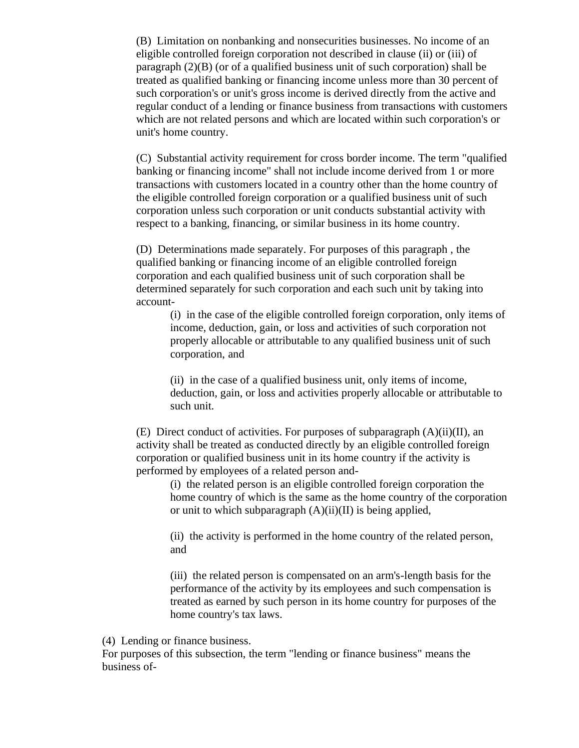(B) Limitation on nonbanking and nonsecurities businesses. No income of an eligible controlled foreign corporation not described in clause (ii) or (iii) of paragraph (2)(B) (or of a qualified business unit of such corporation) shall be treated as qualified banking or financing income unless more than 30 percent of such corporation's or unit's gross income is derived directly from the active and regular conduct of a lending or finance business from transactions with customers which are not related persons and which are located within such corporation's or unit's home country.

(C) Substantial activity requirement for cross border income. The term "qualified banking or financing income" shall not include income derived from 1 or more transactions with customers located in a country other than the home country of the eligible controlled foreign corporation or a qualified business unit of such corporation unless such corporation or unit conducts substantial activity with respect to a banking, financing, or similar business in its home country.

(D) Determinations made separately. For purposes of this paragraph , the qualified banking or financing income of an eligible controlled foreign corporation and each qualified business unit of such corporation shall be determined separately for such corporation and each such unit by taking into account-

(i) in the case of the eligible controlled foreign corporation, only items of income, deduction, gain, or loss and activities of such corporation not properly allocable or attributable to any qualified business unit of such corporation, and

(ii) in the case of a qualified business unit, only items of income, deduction, gain, or loss and activities properly allocable or attributable to such unit.

(E) Direct conduct of activities. For purposes of subparagraph  $(A)(ii)(II)$ , an activity shall be treated as conducted directly by an eligible controlled foreign corporation or qualified business unit in its home country if the activity is performed by employees of a related person and-

(i) the related person is an eligible controlled foreign corporation the home country of which is the same as the home country of the corporation or unit to which subparagraph  $(A)(ii)(II)$  is being applied,

(ii) the activity is performed in the home country of the related person, and

(iii) the related person is compensated on an arm's-length basis for the performance of the activity by its employees and such compensation is treated as earned by such person in its home country for purposes of the home country's tax laws.

(4) Lending or finance business.

For purposes of this subsection, the term "lending or finance business" means the business of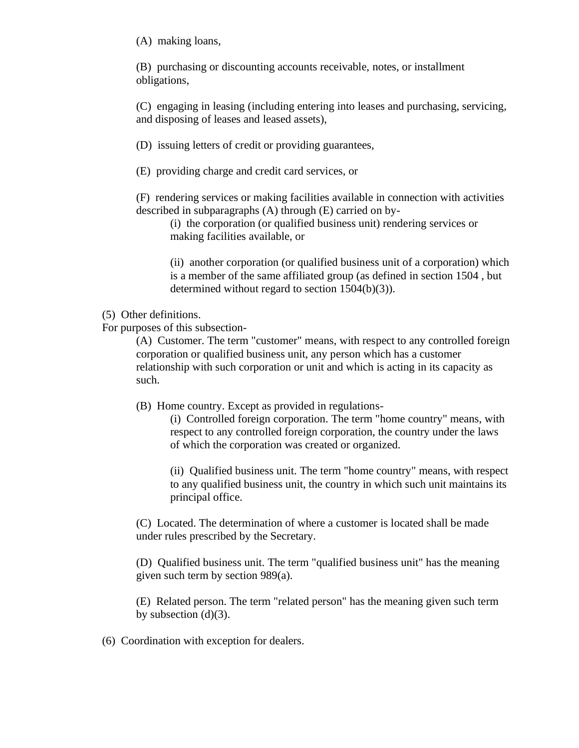(A) making loans,

(B) purchasing or discounting accounts receivable, notes, or installment obligations,

(C) engaging in leasing (including entering into leases and purchasing, servicing, and disposing of leases and leased assets),

(D) issuing letters of credit or providing guarantees,

(E) providing charge and credit card services, or

(F) rendering services or making facilities available in connection with activities described in subparagraphs (A) through (E) carried on by-

(i) the corporation (or qualified business unit) rendering services or making facilities available, or

(ii) another corporation (or qualified business unit of a corporation) which is a member of the same affiliated group (as defined in section 1504 , but determined without regard to section 1504(b)(3)).

(5) Other definitions.

For purposes of this subsection-

(A) Customer. The term "customer" means, with respect to any controlled foreign corporation or qualified business unit, any person which has a customer relationship with such corporation or unit and which is acting in its capacity as such.

(B) Home country. Except as provided in regulations-

(i) Controlled foreign corporation. The term "home country" means, with respect to any controlled foreign corporation, the country under the laws of which the corporation was created or organized.

(ii) Qualified business unit. The term "home country" means, with respect to any qualified business unit, the country in which such unit maintains its principal office.

(C) Located. The determination of where a customer is located shall be made under rules prescribed by the Secretary.

(D) Qualified business unit. The term "qualified business unit" has the meaning given such term by section 989(a).

(E) Related person. The term "related person" has the meaning given such term by subsection  $(d)(3)$ .

(6) Coordination with exception for dealers.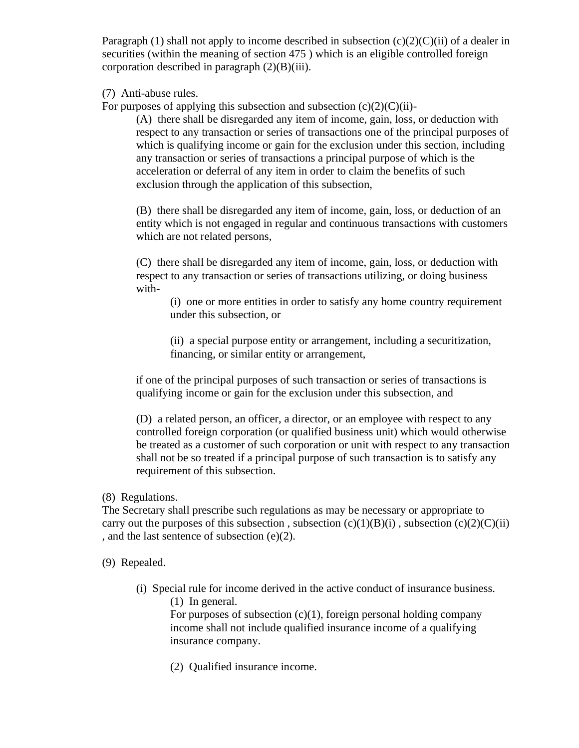Paragraph (1) shall not apply to income described in subsection  $(c)(2)(C)(ii)$  of a dealer in securities (within the meaning of section 475 ) which is an eligible controlled foreign corporation described in paragraph  $(2)(B)(iii)$ .

(7) Anti-abuse rules.

For purposes of applying this subsection and subsection  $(c)(2)(C)(ii)$ -

(A) there shall be disregarded any item of income, gain, loss, or deduction with respect to any transaction or series of transactions one of the principal purposes of which is qualifying income or gain for the exclusion under this section, including any transaction or series of transactions a principal purpose of which is the acceleration or deferral of any item in order to claim the benefits of such exclusion through the application of this subsection,

(B) there shall be disregarded any item of income, gain, loss, or deduction of an entity which is not engaged in regular and continuous transactions with customers which are not related persons,

(C) there shall be disregarded any item of income, gain, loss, or deduction with respect to any transaction or series of transactions utilizing, or doing business with-

(i) one or more entities in order to satisfy any home country requirement under this subsection, or

(ii) a special purpose entity or arrangement, including a securitization, financing, or similar entity or arrangement,

if one of the principal purposes of such transaction or series of transactions is qualifying income or gain for the exclusion under this subsection, and

(D) a related person, an officer, a director, or an employee with respect to any controlled foreign corporation (or qualified business unit) which would otherwise be treated as a customer of such corporation or unit with respect to any transaction shall not be so treated if a principal purpose of such transaction is to satisfy any requirement of this subsection.

## (8) Regulations.

The Secretary shall prescribe such regulations as may be necessary or appropriate to carry out the purposes of this subsection, subsection  $(c)(1)(B)(i)$ , subsection  $(c)(2)(C)(ii)$ , and the last sentence of subsection (e)(2).

(9) Repealed.

(i) Special rule for income derived in the active conduct of insurance business. (1) In general.

For purposes of subsection  $(c)(1)$ , foreign personal holding company income shall not include qualified insurance income of a qualifying insurance company.

(2) Qualified insurance income.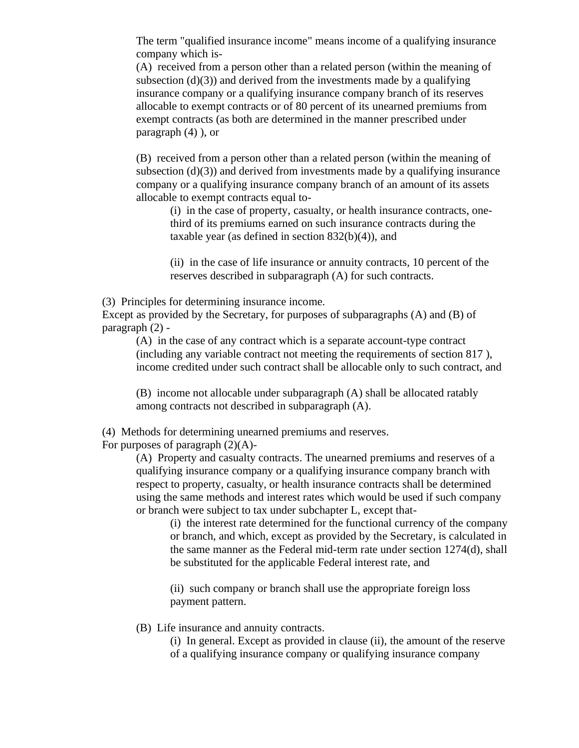The term "qualified insurance income" means income of a qualifying insurance company which is-

(A) received from a person other than a related person (within the meaning of subsection  $(d)(3)$  and derived from the investments made by a qualifying insurance company or a qualifying insurance company branch of its reserves allocable to exempt contracts or of 80 percent of its unearned premiums from exempt contracts (as both are determined in the manner prescribed under paragraph (4) ), or

(B) received from a person other than a related person (within the meaning of subsection  $(d)(3)$  and derived from investments made by a qualifying insurance company or a qualifying insurance company branch of an amount of its assets allocable to exempt contracts equal to-

(i) in the case of property, casualty, or health insurance contracts, onethird of its premiums earned on such insurance contracts during the taxable year (as defined in section  $832(b)(4)$ ), and

(ii) in the case of life insurance or annuity contracts, 10 percent of the reserves described in subparagraph (A) for such contracts.

(3) Principles for determining insurance income.

Except as provided by the Secretary, for purposes of subparagraphs (A) and (B) of paragraph (2) -

(A) in the case of any contract which is a separate account-type contract (including any variable contract not meeting the requirements of section 817 ), income credited under such contract shall be allocable only to such contract, and

(B) income not allocable under subparagraph (A) shall be allocated ratably among contracts not described in subparagraph (A).

(4) Methods for determining unearned premiums and reserves.

For purposes of paragraph  $(2)(A)$ -

(A) Property and casualty contracts. The unearned premiums and reserves of a qualifying insurance company or a qualifying insurance company branch with respect to property, casualty, or health insurance contracts shall be determined using the same methods and interest rates which would be used if such company or branch were subject to tax under subchapter L, except that-

(i) the interest rate determined for the functional currency of the company or branch, and which, except as provided by the Secretary, is calculated in the same manner as the Federal mid-term rate under section 1274(d), shall be substituted for the applicable Federal interest rate, and

(ii) such company or branch shall use the appropriate foreign loss payment pattern.

(B) Life insurance and annuity contracts.

(i) In general. Except as provided in clause (ii), the amount of the reserve of a qualifying insurance company or qualifying insurance company